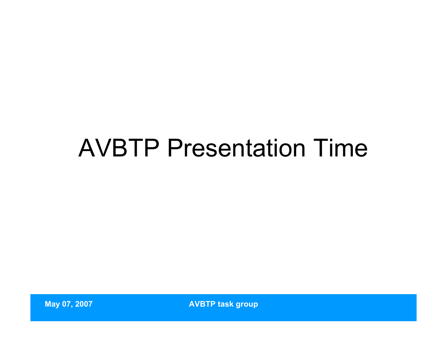## AVBTP Presentation Time

**May 07, 2007 AVBTP task group**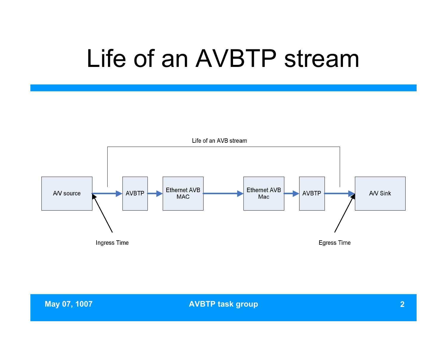## Life of an AVBTP stream

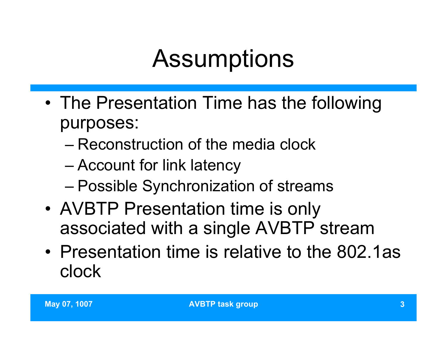# **Assumptions**

- The Presentation Time has the following purposes:
	- Reconstruction of the media clock
	- Account for link latency
	- Possible Synchronization of streams
- AVBTP Presentation time is only associated with a single AVBTP stream
- Presentation time is relative to the 802.1as clock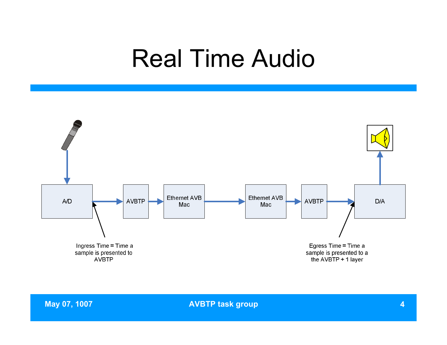### Real Time Audio

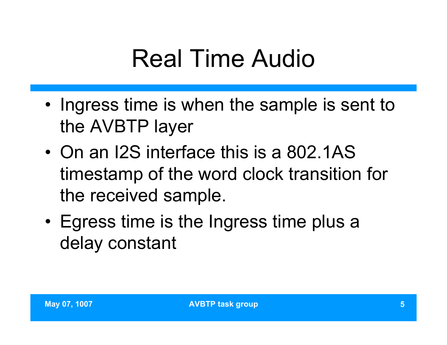# Real Time Audio

- Ingress time is when the sample is sent to the AVBTP layer
- On an I2S interface this is a 802.1AS timestamp of the word clock transition for the received sample.
- Egress time is the Ingress time plus a delay constant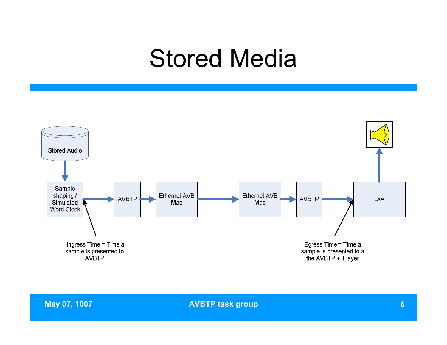### Stored Media

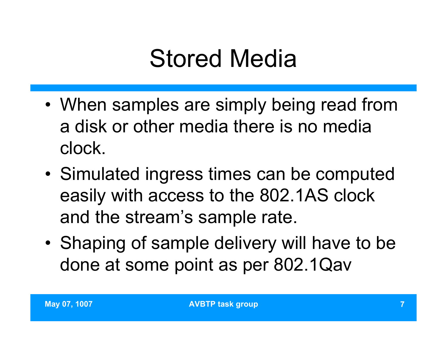## Stored Media

- When samples are simply being read from a disk or other media there is no media clock.
- Simulated ingress times can be computed easily with access to the 802.1AS clock and the stream's sample rate.
- Shaping of sample delivery will have to be done at some point as per 802.1Qav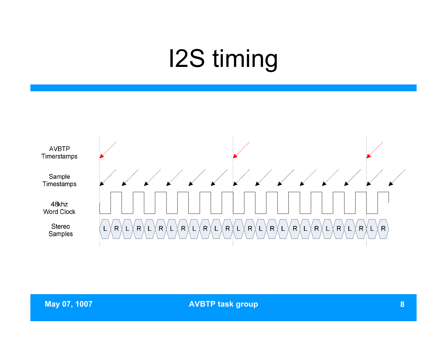# I2S timing

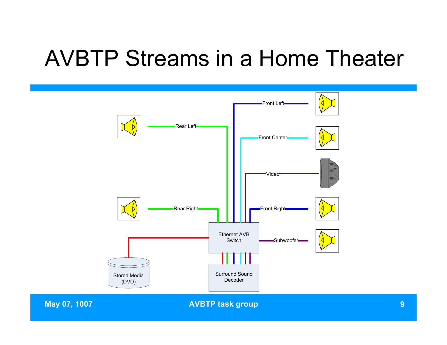#### AVBTP Streams in a Home Theater

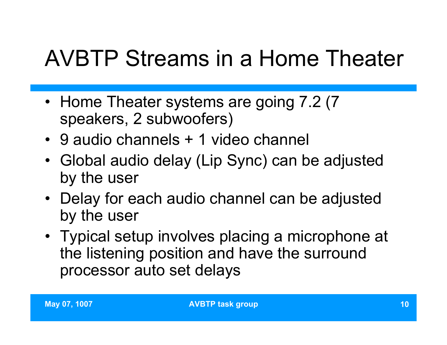## AVBTP Streams in a Home Theater

- Home Theater systems are going 7.2 (7) speakers, 2 subwoofers)
- 9 audio channels + 1 video channel
- Global audio delay (Lip Sync) can be adjusted by the user
- Delay for each audio channel can be adjusted by the user
- Typical setup involves placing a microphone at the listening position and have the surround processor auto set delays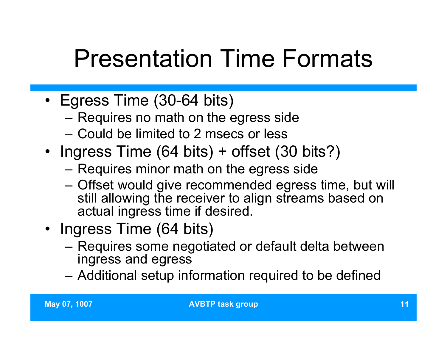# Presentation Time Formats

- Egress Time (30-64 bits)
	- Requires no math on the egress side
	- Could be limited to 2 msecs or less
- Ingress Time (64 bits) + offset (30 bits?)
	- Requires minor math on the egress side
	- Offset would give recommended egress time, but will still allowing the receiver to align streams based on actual ingress time if desired.
- Ingress Time (64 bits)
	- Requires some negotiated or default delta between ingress and egress
	- Additional setup information required to be defined